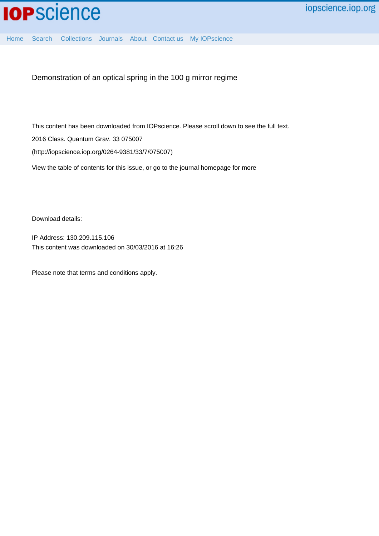[Home](http://iopscience.iop.org/) [Search](http://iopscience.iop.org/search) [Collections](http://iopscience.iop.org/collections) [Journals](http://iopscience.iop.org/journals) [About](http://iopscience.iop.org/page/aboutioppublishing) [Contact us](http://iopscience.iop.org/contact) [My IOPscience](http://iopscience.iop.org/myiopscience)

Demonstration of an optical spring in the 100 g mirror regime

This content has been downloaded from IOPscience. Please scroll down to see the full text. View [the table of contents for this issue](http://iopscience.iop.org/0264-9381/33/7), or go to the [journal homepage](http://iopscience.iop.org/0264-9381) for more 2016 Class. Quantum Grav. 33 075007 (http://iopscience.iop.org/0264-9381/33/7/075007)

Download details:

IP Address: 130.209.115.106 This content was downloaded on 30/03/2016 at 16:26

Please note that [terms and conditions apply.](iopscience.iop.org/page/terms)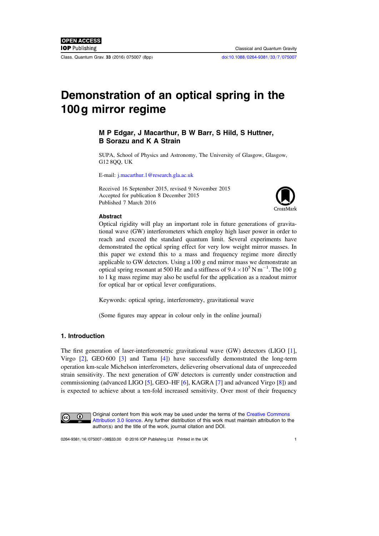Class. Quantum Grav. 33 (2016) 075007 (8pp) [doi:10.1088](http://dx.doi.org/10.1088/0264-9381/33/7/075007)/0264-9381/33/7/075007

# Demonstration of an optical spring in the 100g mirror regime

# M P Edgar, J Macarthur, B W Barr, S Hild, S Huttner, B Sorazu and K A Strain

SUPA, School of Physics and Astronomy, The University of Glasgow, Glasgow, G12 8QQ, UK

E-mail: [j.macarthur.1@research.gla.ac.uk](mailto:j.macarthur.1@research.gla.ac.uk)

Received 16 September 2015, revised 9 November 2015 Accepted for publication 8 December 2015 Published 7 March 2016



### Abstract

Optical rigidity will play an important role in future generations of gravitational wave (GW) interferometers which employ high laser power in order to reach and exceed the standard quantum limit. Several experiments have demonstrated the optical spring effect for very low weight mirror masses. In this paper we extend this to a mass and frequency regime more directly applicable to GW detectors. Using a 100 g end mirror mass we demonstrate an optical spring resonant at 500 Hz and a stiffness of  $9.4 \times 10^5$  N m<sup>-1</sup>. The 100 g to 1 kg mass regime may also be useful for the application as a readout mirror for optical bar or optical lever configurations.

Keywords: optical spring, interferometry, gravitational wave

(Some figures may appear in colour only in the online journal)

# 1. Introduction

The first generation of laser-interferometric gravitational wave (GW) detectors (LIGO [[1](#page-7-0)], Virgo [[2](#page-7-1)], GEO 600 [[3](#page-7-2)] and Tama [[4](#page-7-3)]) have successfully demonstrated the long-term operation km-scale Michelson interferometers, delievering observational data of unpreceeded strain sensitivity. The next generation of GW detectors is currently under construction and commissioning (advanced LIGO [[5](#page-7-4)], GEO–HF [[6](#page-7-5)], KAGRA [[7](#page-7-6)] and advanced Virgo [[8](#page-8-0)]) and is expected to achieve about a ten-fold increased sensitivity. Over most of their frequency



Original content from this work may be used under the terms of the [Creative Commons](http://creativecommons.org/licenses/by/3.0) [Attribution 3.0 licence](http://creativecommons.org/licenses/by/3.0). Any further distribution of this work must maintain attribution to the author(s) and the title of the work, journal citation and DOI.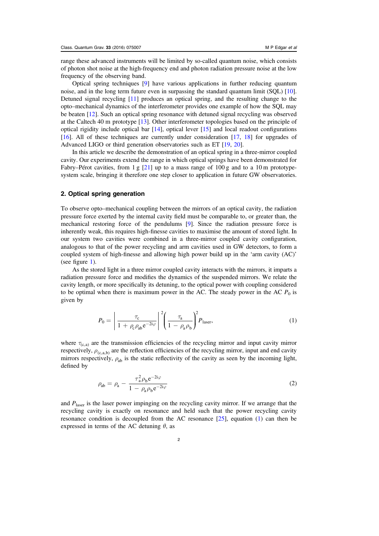range these advanced instruments will be limited by so-called quantum noise, which consists of photon shot noise at the high-frequency end and photon radiation pressure noise at the low frequency of the observing band.

Optical spring techniques [[9](#page-8-1)] have various applications in further reducing quantum noise, and in the long term future even in surpassing the standard quantum limit (SQL) [[10](#page-8-2)]. Detuned signal recycling [[11](#page-8-3)] produces an optical spring, and the resulting change to the opto–mechanical dynamics of the interferometer provides one example of how the SQL may be beaten [[12](#page-8-4)]. Such an optical spring resonance with detuned signal recycling was observed at the Caltech 40 m prototype [[13](#page-8-5)]. Other interferometer topologies based on the principle of optical rigidity include optical bar  $[14]$  $[14]$  $[14]$ , optical lever  $[15]$  $[15]$  $[15]$  and local readout configurations [[16](#page-8-8)]. All of these techniques are currently under consideration [[17](#page-8-9), [18](#page-8-10)] for upgrades of Advanced LIGO or third generation observatories such as ET [[19,](#page-8-11) [20](#page-8-12)].

In this article we describe the demonstration of an optical spring in a three-mirror coupled cavity. Our experiments extend the range in which optical springs have been demonstrated for Fabry–Pérot cavities, from 1 g [[21](#page-8-13)] up to a mass range of 100 g and to a 10 m prototypesystem scale, bringing it therefore one step closer to application in future GW observatories.

#### 2. Optical spring generation

To observe opto–mechanical coupling between the mirrors of an optical cavity, the radiation pressure force exerted by the internal cavity field must be comparable to, or greater than, the mechanical restoring force of the pendulums [[9](#page-8-1)]. Since the radiation pressure force is inherently weak, this requires high-finesse cavities to maximise the amount of stored light. In our system two cavities were combined in a three-mirror coupled cavity configuration, analogous to that of the power recycling and arm cavities used in GW detectors, to form a coupled system of high-finesse and allowing high power build up in the 'arm cavity (AC)' (see figure [1](#page-3-0)).

<span id="page-2-0"></span>As the stored light in a three mirror coupled cavity interacts with the mirrors, it imparts a radiation pressure force and modifies the dynamics of the suspended mirrors. We relate the cavity length, or more specifically its detuning, to the optical power with coupling considered to be optimal when there is maximum power in the AC. The steady power in the AC  $P_0$  is given by

$$
P_0 = \left| \frac{\tau_c}{1 + \rho_c \rho_{ab} e^{-2i\varphi}} \right|^2 \left( \frac{\tau_a}{1 - \rho_a \rho_b} \right)^2 P_{\text{laser}}, \tag{1}
$$

where  $\tau_{(c,a)}$  are the transmission efficiencies of the recycling mirror and input cavity mirror respectively,  $\rho_{(c,a,b)}$  are the reflection efficiencies of the recycling mirror, input and end cavity mirrors respectively,  $\rho_{ab}$  is the static reflectivity of the cavity as seen by the incoming light, defined by

$$
\rho_{ab} = \rho_a - \frac{\tau_a^2 \rho_b e^{-2i\varphi}}{1 - \rho_a \rho_b e^{-2i\varphi}}
$$
\n(2)

and  $P_{\text{laser}}$  is the laser power impinging on the recycling cavity mirror. If we arrange that the recycling cavity is exactly on resonance and held such that the power recycling cavity resonance condition is decoupled from the AC resonance  $[25]$  $[25]$  $[25]$ , equation ([1](#page-2-0)) can then be expressed in terms of the AC detuning  $\theta$ , as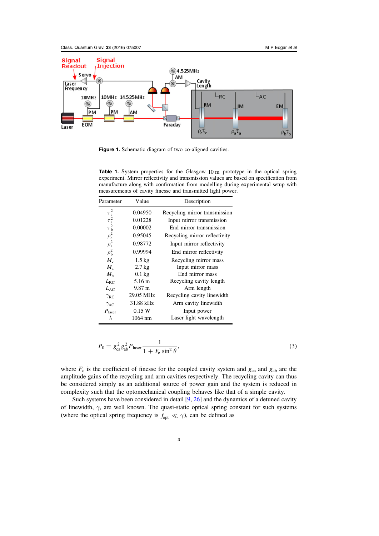<span id="page-3-0"></span>

Figure 1. Schematic diagram of two co-aligned cavities.

<span id="page-3-1"></span>Table 1. System properties for the Glasgow 10 m prototype in the optical spring experiment. Mirror reflectivity and transmission values are based on specification from manufacture along with confirmation from modelling during experimental setup with measurements of cavity finesse and transmitted light power.

| Parameter                                                                                                | Value             | Description                   |
|----------------------------------------------------------------------------------------------------------|-------------------|-------------------------------|
|                                                                                                          | 0.04950           | Recycling mirror transmission |
|                                                                                                          | 0.01228           | Input mirror transmission     |
|                                                                                                          | 0.00002           | End mirror transmission       |
|                                                                                                          | 0.95045           | Recycling mirror reflectivity |
|                                                                                                          | 0.98772           | Input mirror reflectivity     |
| $\tau_{c}^{2}$<br>$\tau_{a}^{2}$<br>$\tau_{b}^{2}$<br>$\rho_{c}^{2}$<br>$\rho_{a}^{2}$<br>$\rho_{b}^{2}$ | 0.99994           | End mirror reflectivity       |
| $M_{c}$                                                                                                  | $1.5 \text{ kg}$  | Recycling mirror mass         |
| $M_{\rm a}$                                                                                              | $2.7 \text{ kg}$  | Input mirror mass             |
| $M_{h}$                                                                                                  | $0.1 \text{ kg}$  | End mirror mass               |
| $L_{\rm RC}$                                                                                             | 5.16 m            | Recycling cavity length       |
| $L_{AC}$                                                                                                 | 9.87 m            | Arm length                    |
| $\gamma_{\rm RC}$                                                                                        | 29.05 MHz         | Recycling cavity linewidth    |
| $\gamma_{AC}$                                                                                            | 31.88 kHz         | Arm cavity linewidth          |
| $P_{\text{laser}}$                                                                                       | 0.15W             | Input power                   |
| $\lambda$                                                                                                | $1064 \text{ nm}$ | Laser light wavelength        |

$$
P_0 = g_{ca}^2 g_{ab}^2 P_{laser} \frac{1}{1 + F_c \sin^2 \theta},
$$
\n(3)

where  $F_c$  is the coefficient of finesse for the coupled cavity system and  $g_{ca}$  and  $g_{ab}$  are the amplitude gains of the recycling and arm cavities respectively. The recycling cavity can thus be considered simply as an additional source of power gain and the system is reduced in complexity such that the optomechanical coupling behaves like that of a simple cavity.

Such systems have been considered in detail  $[9, 26]$  $[9, 26]$  $[9, 26]$  $[9, 26]$  $[9, 26]$  and the dynamics of a detuned cavity of linewidth,  $\gamma$ , are well known. The quasi-static optical spring constant for such systems (where the optical spring frequency is  $f_{opt} \ll \gamma$ ), can be defined as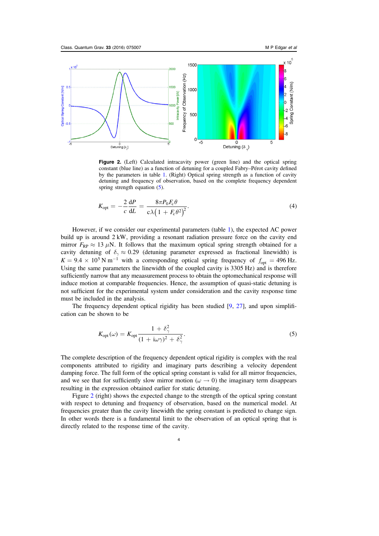<span id="page-4-0"></span>

Figure 2. (Left) Calculated intracavity power (green line) and the optical spring constant (blue line) as a function of detuning for a coupled Fabry–Pérot cavity defined by the parameters in table [1](#page-3-1). (Right) Optical spring strength as a function of cavity detuning and frequency of observation, based on the complete frequency dependent spring strength equation ([5](#page-4-1)).

$$
K_{\rm opt} = -\frac{2}{c} \frac{\mathrm{d}P}{\mathrm{d}L} = \frac{8\pi P_0 F_c \theta}{c\lambda \left(1 + F_c \theta^2\right)^2}.
$$
\n(4)

However, if we consider our experimental parameters (table [1](#page-3-1)), the expected AC power build up is around 2 kW, providing a resonant radiation pressure force on the cavity end mirror  $F_{RP} \approx 13 \mu N$ . It follows that the maximum optical spring strength obtained for a cavity detuning of  $\delta_{\gamma} \approx 0.29$  (detuning parameter expressed as fractional linewidth) is  $K = 9.4 \times 10^5$  N m<sup>-1</sup> with a corresponding optical spring frequency of  $f_{\text{opt}} = 496$  Hz. Using the same parameters the linewidth of the coupled cavity is 3305 Hz) and is therefore sufficiently narrow that any meaasurement process to obtain the optomechanical response will induce motion at comparable frequencies. Hence, the assumption of quasi-static detuning is not sufficient for the experimental system under consideration and the cavity response time must be included in the analysis.

<span id="page-4-1"></span>The frequency dependent optical rigidity has been studied [[9,](#page-8-1) [27](#page-8-16)], and upon simplification can be shown to be

$$
K_{\rm opt}(\omega) = K_{\rm opt} \frac{1 + \delta_\gamma^2}{(1 + i\omega\gamma)^2 + \delta_\gamma^2}.
$$
\n(5)

The complete description of the frequency dependent optical rigidity is complex with the real components attributed to rigidity and imaginary parts describing a velocity dependent damping force. The full form of the optical spring constant is valid for all mirror frequencies, and we see that for sufficiently slow mirror motion ( $\omega \to 0$ ) the imaginary term disappears resulting in the expression obtained earlier for static detuning.

Figure [2](#page-4-0) (right) shows the expected change to the strength of the optical spring constant with respect to detuning and frequency of observation, based on the numerical model. At frequencies greater than the cavity linewidth the spring constant is predicted to change sign. In other words there is a fundamental limit to the observation of an optical spring that is directly related to the response time of the cavity.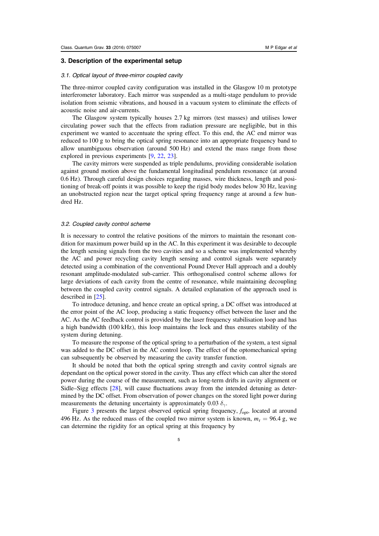#### 3. Description of the experimental setup

#### 3.1. Optical layout of three-mirror coupled cavity

The three-mirror coupled cavity configuration was installed in the Glasgow 10 m prototype interferometer laboratory. Each mirror was suspended as a multi-stage pendulum to provide isolation from seismic vibrations, and housed in a vacuum system to eliminate the effects of acoustic noise and air-currents.

The Glasgow system typically houses 2.7 kg mirrors (test masses) and utilises lower circulating power such that the effects from radiation pressure are negligible, but in this experiment we wanted to accentuate the spring effect. To this end, the AC end mirror was reduced to 100 g to bring the optical spring resonance into an appropriate frequency band to allow unambiguous observation (around 500 Hz) and extend the mass range from those explored in previous experiments [[9,](#page-8-1) [22](#page-8-17), [23](#page-8-18)].

The cavity mirrors were suspended as triple pendulums, providing considerable isolation against ground motion above the fundamental longitudinal pendulum resonance (at around 0.6 Hz). Through careful design choices regarding masses, wire thickness, length and positioning of break-off points it was possible to keep the rigid body modes below 30 Hz, leaving an unobstructed region near the target optical spring frequency range at around a few hundred Hz.

#### 3.2. Coupled cavity control scheme

It is necessary to control the relative positions of the mirrors to maintain the resonant condition for maximum power build up in the AC. In this experiment it was desirable to decouple the length sensing signals from the two cavities and so a scheme was implemented whereby the AC and power recycling cavity length sensing and control signals were separately detected using a combination of the conventional Pound Drever Hall approach and a doubly resonant amplitude-modulated sub-carrier. This orthogonalised control scheme allows for large deviations of each cavity from the centre of resonance, while maintaining decoupling between the coupled cavity control signals. A detailed explanation of the approach used is described in [[25](#page-8-14)].

To introduce detuning, and hence create an optical spring, a DC offset was introduced at the error point of the AC loop, producing a static frequency offset between the laser and the AC. As the AC feedback control is provided by the laser frequency stabilisation loop and has a high bandwidth (100 kHz), this loop maintains the lock and thus ensures stability of the system during detuning.

To measure the response of the optical spring to a perturbation of the system, a test signal was added to the DC offset in the AC control loop. The effect of the optomechanical spring can subsequently be observed by measuring the cavity transfer function.

It should be noted that both the optical spring strength and cavity control signals are dependant on the optical power stored in the cavity. Thus any effect which can alter the stored power during the course of the measurement, such as long-term drifts in cavity alignment or Sidle–Sigg effects [[28](#page-8-19)], will cause fluctuations away from the intended detuning as determined by the DC offset. From observation of power changes on the stored light power during measurements the detuning uncertainty is approximately 0.03  $\delta_{\gamma}$ .

Figure [3](#page-6-0) presents the largest observed optical spring frequency,  $f_{\text{opt}}$ , located at around 496 Hz. As the reduced mass of the coupled two mirror system is known,  $m_r = 96.4$  g, we can determine the rigidity for an optical spring at this frequency by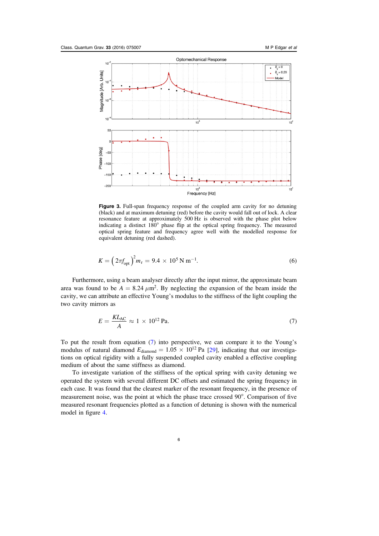<span id="page-6-0"></span>

Figure 3. Full-span frequency response of the coupled arm cavity for no detuning (black) and at maximum detuning (red) before the cavity would fall out of lock. A clear resonance feature at approximately 500 Hz is observed with the phase plot below indicating a distinct 180° phase flip at the optical spring frequency. The measured optical spring feature and frequency agree well with the modelled response for equivalent detuning (red dashed).

$$
K = \left(2\pi f_{\text{opt}}\right)^2 m_r = 9.4 \times 10^5 \,\text{N m}^{-1}.\tag{6}
$$

<span id="page-6-1"></span>Furthermore, using a beam analyser directly after the input mirror, the approximate beam area was found to be  $A = 8.24 \ \mu \text{m}^2$ . By neglecting the expansion of the beam inside the cavity, we can attribute an effective Young's modulus to the stiffness of the light coupling the two cavity mirrors as

$$
E = \frac{KL_{AC}}{A} \approx 1 \times 10^{12} \,\text{Pa.}
$$
 (7)

To put the result from equation ([7](#page-6-1)) into perspective, we can compare it to the Young's modulus of natural diamond  $E_{\text{diamond}} = 1.05 \times 10^{12} \text{ Pa}$  [[29](#page-8-20)], indicating that our investigations on optical rigidity with a fully suspended coupled cavity enabled a effective coupling medium of about the same stiffness as diamond.

To investigate variation of the stiffness of the optical spring with cavity detuning we operated the system with several different DC offsets and estimated the spring frequency in each case. It was found that the clearest marker of the resonant frequency, in the presence of measurement noise, was the point at which the phase trace crossed 90°. Comparison of five measured resonant frequencies plotted as a function of detuning is shown with the numerical model in figure [4.](#page-7-7)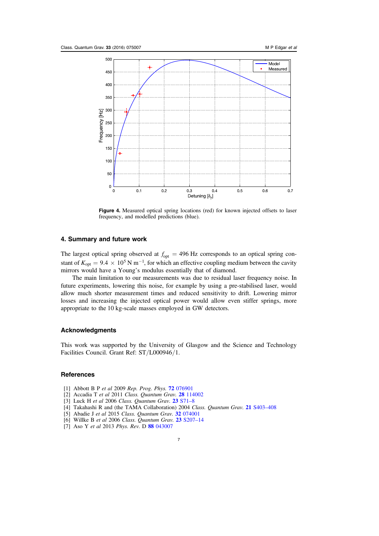<span id="page-7-7"></span>

Figure 4. Measured optical spring locations (red) for known injected offsets to laser frequency, and modelled predictions (blue).

# 4. Summary and future work

The largest optical spring observed at  $f_{\text{opt}} = 496 \text{ Hz}$  corresponds to an optical spring constant of  $K_{opt} = 9.4 \times 10^5$  N m<sup>-1</sup>, for which an effective coupling medium between the cavity mirrors would have a Young's modulus essentially that of diamond.

The main limitation to our measurements was due to residual laser frequency noise. In future experiments, lowering this noise, for example by using a pre-stabilised laser, would allow much shorter measurement times and reduced sensitivity to drift. Lowering mirror losses and increasing the injected optical power would allow even stiffer springs, more appropriate to the 10 kg-scale masses employed in GW detectors.

## Acknowledgments

This work was supported by the University of Glasgow and the Science and Technology Facilities Council. Grant Ref: ST/L000946/1.

## **References**

- <span id="page-7-0"></span>[1] Abbott B P et al 2009 Rep. Prog. Phys. 72 [076901](http://dx.doi.org/10.1088/0034-4885/72/7/076901)
- <span id="page-7-1"></span>[2] Accadia T et al 2011 Class. Quantum Grav. 28 [114002](http://dx.doi.org/10.1088/0264-9381/28/11/114002)
- <span id="page-7-2"></span>[3] Luck H et al 2006 Class. Quantum Grav. 23 [S71](http://dx.doi.org/10.1088/0264-9381/23/8/S10)-8
- <span id="page-7-3"></span>[4] Takahashi R and (the TAMA Collaboration) 2004 Class. Quantum Grav. 21 [S403](http://dx.doi.org/10.1088/0264-9381/21/5/004)–408
- <span id="page-7-4"></span>[5] Abadie J et al 2015 Class. Quantum Grav. 32 [074001](http://dx.doi.org/10.1088/0264-9381/32/7/074001)
- <span id="page-7-5"></span>[6] Willke B et al 2006 Class. Quantum Grav. 23 [S207](http://dx.doi.org/10.1088/0264-9381/23/8/S26)-14
- <span id="page-7-6"></span>[7] Aso Y et al 2013 Phys. Rev. D 88 [043007](http://dx.doi.org/10.1103/PhysRevD.88.043007)